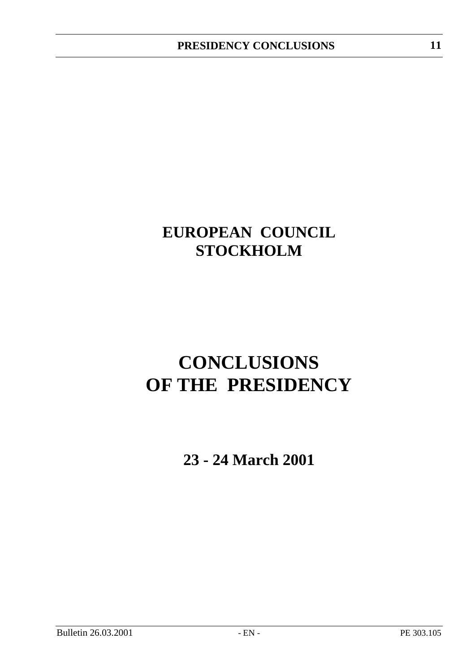## **EUROPEAN COUNCIL STOCKHOLM**

# **CONCLUSIONS OF THE PRESIDENCY**

**23 - 24 March 2001**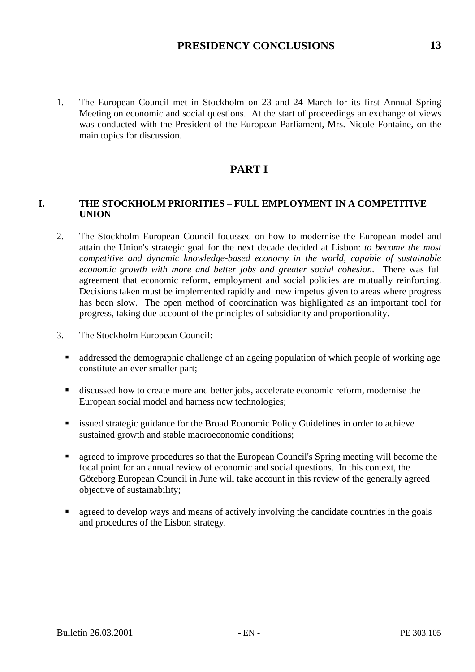1. The European Council met in Stockholm on 23 and 24 March for its first Annual Spring Meeting on economic and social questions. At the start of proceedings an exchange of views was conducted with the President of the European Parliament, Mrs. Nicole Fontaine, on the main topics for discussion.

## **PART I**

#### **I. THE STOCKHOLM PRIORITIES – FULL EMPLOYMENT IN A COMPETITIVE UNION**

- 2. The Stockholm European Council focussed on how to modernise the European model and attain the Union's strategic goal for the next decade decided at Lisbon: *to become the most competitive and dynamic knowledge-based economy in the world, capable of sustainable economic growth with more and better jobs and greater social cohesion*. There was full agreement that economic reform, employment and social policies are mutually reinforcing. Decisions taken must be implemented rapidly and new impetus given to areas where progress has been slow. The open method of coordination was highlighted as an important tool for progress, taking due account of the principles of subsidiarity and proportionality.
- 3. The Stockholm European Council:
	- addressed the demographic challenge of an ageing population of which people of working age constitute an ever smaller part;
	- discussed how to create more and better jobs, accelerate economic reform, modernise the European social model and harness new technologies;
	- **Exercise 1** issued strategic guidance for the Broad Economic Policy Guidelines in order to achieve sustained growth and stable macroeconomic conditions;
	- agreed to improve procedures so that the European Council's Spring meeting will become the focal point for an annual review of economic and social questions. In this context, the Göteborg European Council in June will take account in this review of the generally agreed objective of sustainability;
	- agreed to develop ways and means of actively involving the candidate countries in the goals and procedures of the Lisbon strategy.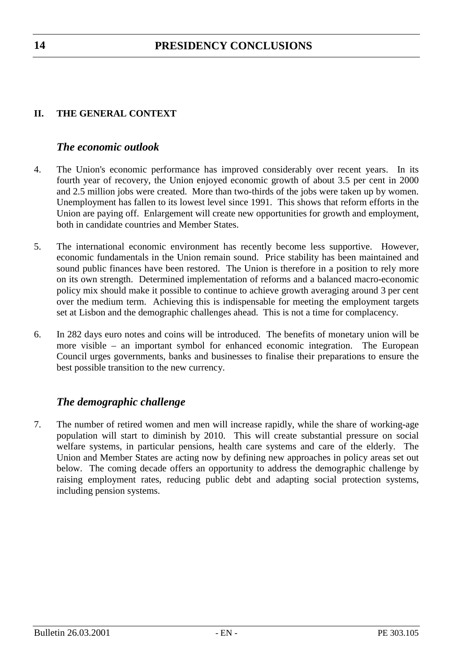## **II. THE GENERAL CONTEXT**

## *The economic outlook*

- 4. The Union's economic performance has improved considerably over recent years. In its fourth year of recovery, the Union enjoyed economic growth of about 3.5 per cent in 2000 and 2.5 million jobs were created. More than two-thirds of the jobs were taken up by women. Unemployment has fallen to its lowest level since 1991. This shows that reform efforts in the Union are paying off. Enlargement will create new opportunities for growth and employment, both in candidate countries and Member States.
- 5. The international economic environment has recently become less supportive. However, economic fundamentals in the Union remain sound. Price stability has been maintained and sound public finances have been restored. The Union is therefore in a position to rely more on its own strength. Determined implementation of reforms and a balanced macro-economic policy mix should make it possible to continue to achieve growth averaging around 3 per cent over the medium term. Achieving this is indispensable for meeting the employment targets set at Lisbon and the demographic challenges ahead. This is not a time for complacency.
- 6. In 282 days euro notes and coins will be introduced. The benefits of monetary union will be more visible – an important symbol for enhanced economic integration. The European Council urges governments, banks and businesses to finalise their preparations to ensure the best possible transition to the new currency.

## *The demographic challenge*

7. The number of retired women and men will increase rapidly, while the share of working-age population will start to diminish by 2010. This will create substantial pressure on social welfare systems, in particular pensions, health care systems and care of the elderly. The Union and Member States are acting now by defining new approaches in policy areas set out below. The coming decade offers an opportunity to address the demographic challenge by raising employment rates, reducing public debt and adapting social protection systems, including pension systems.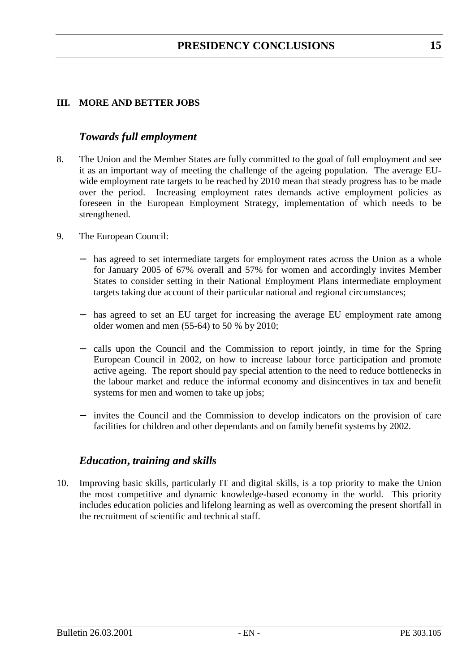## **III. MORE AND BETTER JOBS**

## *Towards full employment*

- 8. The Union and the Member States are fully committed to the goal of full employment and see it as an important way of meeting the challenge of the ageing population. The average EUwide employment rate targets to be reached by 2010 mean that steady progress has to be made over the period. Increasing employment rates demands active employment policies as foreseen in the European Employment Strategy, implementation of which needs to be strengthened.
- 9. The European Council:
	- has agreed to set intermediate targets for employment rates across the Union as a whole for January 2005 of 67% overall and 57% for women and accordingly invites Member States to consider setting in their National Employment Plans intermediate employment targets taking due account of their particular national and regional circumstances;
	- − has agreed to set an EU target for increasing the average EU employment rate among older women and men (55-64) to 50 % by 2010;
	- − calls upon the Council and the Commission to report jointly, in time for the Spring European Council in 2002, on how to increase labour force participation and promote active ageing. The report should pay special attention to the need to reduce bottlenecks in the labour market and reduce the informal economy and disincentives in tax and benefit systems for men and women to take up jobs;
	- invites the Council and the Commission to develop indicators on the provision of care facilities for children and other dependants and on family benefit systems by 2002.

## *Education***,** *training and skills*

10. Improving basic skills, particularly IT and digital skills, is a top priority to make the Union the most competitive and dynamic knowledge-based economy in the world. This priority includes education policies and lifelong learning as well as overcoming the present shortfall in the recruitment of scientific and technical staff.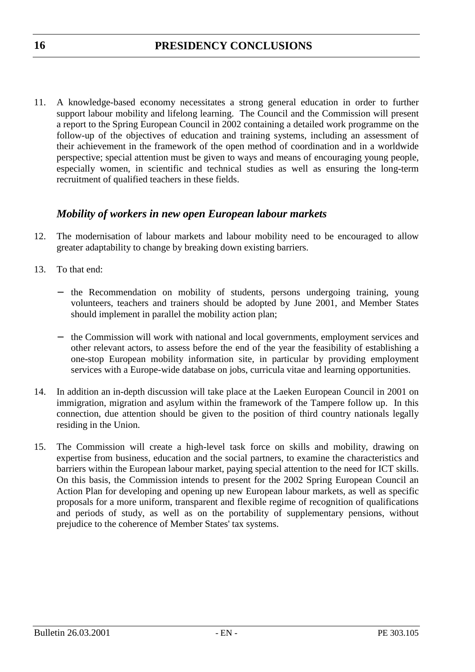11. A knowledge-based economy necessitates a strong general education in order to further support labour mobility and lifelong learning. The Council and the Commission will present a report to the Spring European Council in 2002 containing a detailed work programme on the follow-up of the objectives of education and training systems, including an assessment of their achievement in the framework of the open method of coordination and in a worldwide perspective; special attention must be given to ways and means of encouraging young people, especially women, in scientific and technical studies as well as ensuring the long-term recruitment of qualified teachers in these fields.

## *Mobility of workers in new open European labour markets*

- 12. The modernisation of labour markets and labour mobility need to be encouraged to allow greater adaptability to change by breaking down existing barriers.
- 13. To that end:
	- − the Recommendation on mobility of students, persons undergoing training, young volunteers, teachers and trainers should be adopted by June 2001, and Member States should implement in parallel the mobility action plan;
	- − the Commission will work with national and local governments, employment services and other relevant actors, to assess before the end of the year the feasibility of establishing a one-stop European mobility information site, in particular by providing employment services with a Europe-wide database on jobs, curricula vitae and learning opportunities.
- 14. In addition an in-depth discussion will take place at the Laeken European Council in 2001 on immigration, migration and asylum within the framework of the Tampere follow up. In this connection, due attention should be given to the position of third country nationals legally residing in the Union.
- 15. The Commission will create a high-level task force on skills and mobility, drawing on expertise from business, education and the social partners, to examine the characteristics and barriers within the European labour market, paying special attention to the need for ICT skills. On this basis, the Commission intends to present for the 2002 Spring European Council an Action Plan for developing and opening up new European labour markets, as well as specific proposals for a more uniform, transparent and flexible regime of recognition of qualifications and periods of study, as well as on the portability of supplementary pensions, without prejudice to the coherence of Member States' tax systems.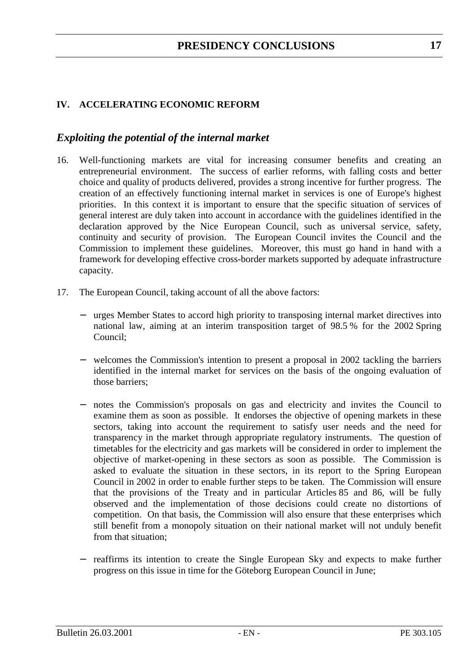## **IV. ACCELERATING ECONOMIC REFORM**

## *Exploiting the potential of the internal market*

- 16. Well-functioning markets are vital for increasing consumer benefits and creating an entrepreneurial environment. The success of earlier reforms, with falling costs and better choice and quality of products delivered, provides a strong incentive for further progress. The creation of an effectively functioning internal market in services is one of Europe's highest priorities. In this context it is important to ensure that the specific situation of services of general interest are duly taken into account in accordance with the guidelines identified in the declaration approved by the Nice European Council, such as universal service, safety, continuity and security of provision. The European Council invites the Council and the Commission to implement these guidelines. Moreover, this must go hand in hand with a framework for developing effective cross-border markets supported by adequate infrastructure capacity.
- 17. The European Council, taking account of all the above factors:
	- − urges Member States to accord high priority to transposing internal market directives into national law, aiming at an interim transposition target of 98.5 % for the 2002 Spring Council;
	- − welcomes the Commission's intention to present a proposal in 2002 tackling the barriers identified in the internal market for services on the basis of the ongoing evaluation of those barriers;
	- notes the Commission's proposals on gas and electricity and invites the Council to examine them as soon as possible. It endorses the objective of opening markets in these sectors, taking into account the requirement to satisfy user needs and the need for transparency in the market through appropriate regulatory instruments. The question of timetables for the electricity and gas markets will be considered in order to implement the objective of market-opening in these sectors as soon as possible. The Commission is asked to evaluate the situation in these sectors, in its report to the Spring European Council in 2002 in order to enable further steps to be taken. The Commission will ensure that the provisions of the Treaty and in particular Articles 85 and 86, will be fully observed and the implementation of those decisions could create no distortions of competition. On that basis, the Commission will also ensure that these enterprises which still benefit from a monopoly situation on their national market will not unduly benefit from that situation;
	- − reaffirms its intention to create the Single European Sky and expects to make further progress on this issue in time for the Göteborg European Council in June;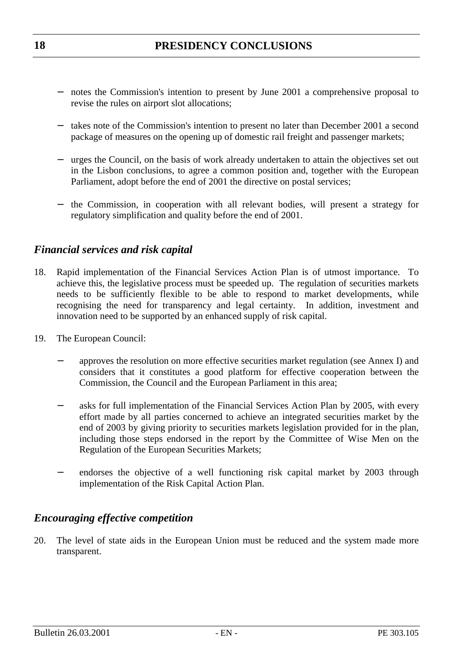- − notes the Commission's intention to present by June 2001 a comprehensive proposal to revise the rules on airport slot allocations;
- − takes note of the Commission's intention to present no later than December 2001 a second package of measures on the opening up of domestic rail freight and passenger markets;
- − urges the Council, on the basis of work already undertaken to attain the objectives set out in the Lisbon conclusions, to agree a common position and, together with the European Parliament, adopt before the end of 2001 the directive on postal services;
- − the Commission, in cooperation with all relevant bodies, will present a strategy for regulatory simplification and quality before the end of 2001.

## *Financial services and risk capital*

- 18. Rapid implementation of the Financial Services Action Plan is of utmost importance. To achieve this, the legislative process must be speeded up. The regulation of securities markets needs to be sufficiently flexible to be able to respond to market developments, while recognising the need for transparency and legal certainty. In addition, investment and innovation need to be supported by an enhanced supply of risk capital.
- 19. The European Council:
	- approves the resolution on more effective securities market regulation (see Annex I) and considers that it constitutes a good platform for effective cooperation between the Commission, the Council and the European Parliament in this area;
	- asks for full implementation of the Financial Services Action Plan by 2005, with every effort made by all parties concerned to achieve an integrated securities market by the end of 2003 by giving priority to securities markets legislation provided for in the plan, including those steps endorsed in the report by the Committee of Wise Men on the Regulation of the European Securities Markets;
	- endorses the objective of a well functioning risk capital market by 2003 through implementation of the Risk Capital Action Plan.

## *Encouraging effective competition*

20. The level of state aids in the European Union must be reduced and the system made more transparent.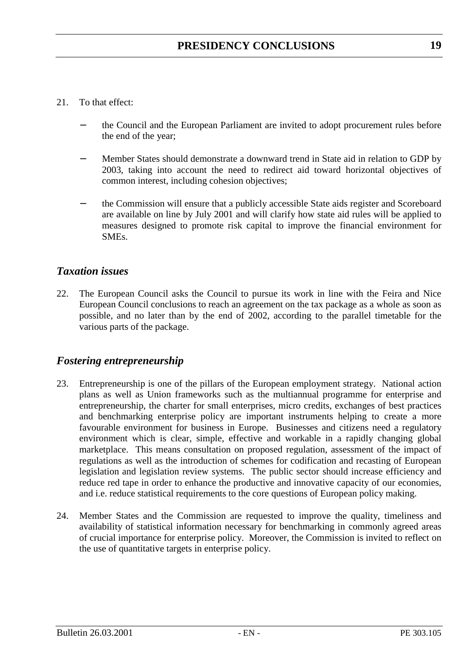#### 21. To that effect:

- the Council and the European Parliament are invited to adopt procurement rules before the end of the year;
- − Member States should demonstrate a downward trend in State aid in relation to GDP by 2003, taking into account the need to redirect aid toward horizontal objectives of common interest, including cohesion objectives;
- the Commission will ensure that a publicly accessible State aids register and Scoreboard are available on line by July 2001 and will clarify how state aid rules will be applied to measures designed to promote risk capital to improve the financial environment for SMEs.

## *Taxation issues*

22. The European Council asks the Council to pursue its work in line with the Feira and Nice European Council conclusions to reach an agreement on the tax package as a whole as soon as possible, and no later than by the end of 2002, according to the parallel timetable for the various parts of the package.

## *Fostering entrepreneurship*

- 23. Entrepreneurship is one of the pillars of the European employment strategy. National action plans as well as Union frameworks such as the multiannual programme for enterprise and entrepreneurship, the charter for small enterprises, micro credits, exchanges of best practices and benchmarking enterprise policy are important instruments helping to create a more favourable environment for business in Europe. Businesses and citizens need a regulatory environment which is clear, simple, effective and workable in a rapidly changing global marketplace. This means consultation on proposed regulation, assessment of the impact of regulations as well as the introduction of schemes for codification and recasting of European legislation and legislation review systems. The public sector should increase efficiency and reduce red tape in order to enhance the productive and innovative capacity of our economies, and i.e. reduce statistical requirements to the core questions of European policy making.
- 24. Member States and the Commission are requested to improve the quality, timeliness and availability of statistical information necessary for benchmarking in commonly agreed areas of crucial importance for enterprise policy. Moreover, the Commission is invited to reflect on the use of quantitative targets in enterprise policy.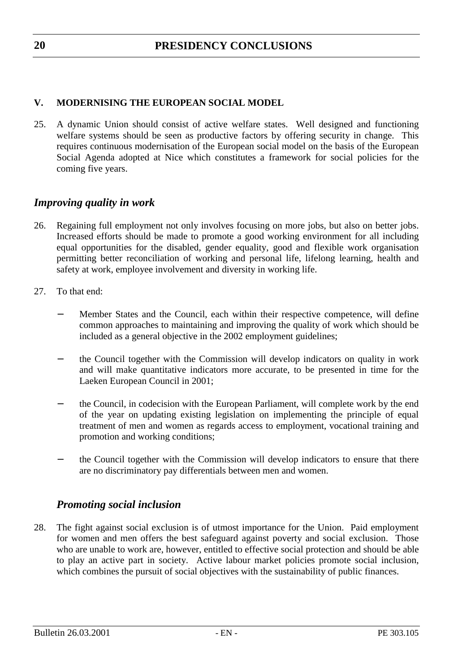## **V. MODERNISING THE EUROPEAN SOCIAL MODEL**

25. A dynamic Union should consist of active welfare states. Well designed and functioning welfare systems should be seen as productive factors by offering security in change. This requires continuous modernisation of the European social model on the basis of the European Social Agenda adopted at Nice which constitutes a framework for social policies for the coming five years.

## *Improving quality in work*

- 26. Regaining full employment not only involves focusing on more jobs, but also on better jobs. Increased efforts should be made to promote a good working environment for all including equal opportunities for the disabled, gender equality, good and flexible work organisation permitting better reconciliation of working and personal life, lifelong learning, health and safety at work, employee involvement and diversity in working life.
- 27. To that end:
	- Member States and the Council, each within their respective competence, will define common approaches to maintaining and improving the quality of work which should be included as a general objective in the 2002 employment guidelines;
	- the Council together with the Commission will develop indicators on quality in work and will make quantitative indicators more accurate, to be presented in time for the Laeken European Council in 2001;
	- the Council, in codecision with the European Parliament, will complete work by the end of the year on updating existing legislation on implementing the principle of equal treatment of men and women as regards access to employment, vocational training and promotion and working conditions;
	- the Council together with the Commission will develop indicators to ensure that there are no discriminatory pay differentials between men and women.

## *Promoting social inclusion*

28. The fight against social exclusion is of utmost importance for the Union. Paid employment for women and men offers the best safeguard against poverty and social exclusion. Those who are unable to work are, however, entitled to effective social protection and should be able to play an active part in society. Active labour market policies promote social inclusion, which combines the pursuit of social objectives with the sustainability of public finances.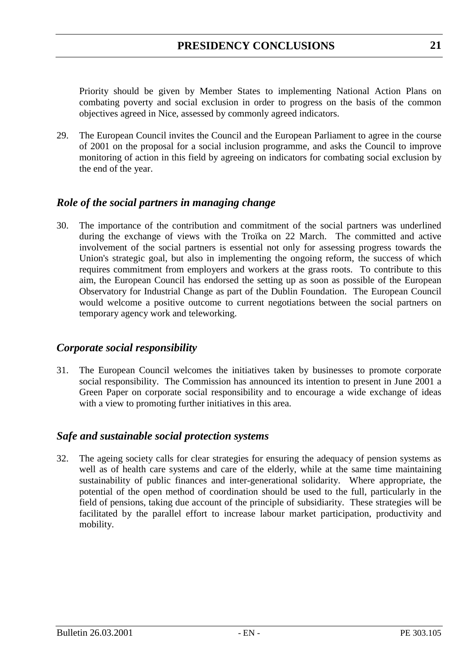Priority should be given by Member States to implementing National Action Plans on combating poverty and social exclusion in order to progress on the basis of the common objectives agreed in Nice, assessed by commonly agreed indicators.

29. The European Council invites the Council and the European Parliament to agree in the course of 2001 on the proposal for a social inclusion programme, and asks the Council to improve monitoring of action in this field by agreeing on indicators for combating social exclusion by the end of the year.

## *Role of the social partners in managing change*

30. The importance of the contribution and commitment of the social partners was underlined during the exchange of views with the Troïka on 22 March. The committed and active involvement of the social partners is essential not only for assessing progress towards the Union's strategic goal, but also in implementing the ongoing reform, the success of which requires commitment from employers and workers at the grass roots. To contribute to this aim, the European Council has endorsed the setting up as soon as possible of the European Observatory for Industrial Change as part of the Dublin Foundation. The European Council would welcome a positive outcome to current negotiations between the social partners on temporary agency work and teleworking.

## *Corporate social responsibility*

31. The European Council welcomes the initiatives taken by businesses to promote corporate social responsibility. The Commission has announced its intention to present in June 2001 a Green Paper on corporate social responsibility and to encourage a wide exchange of ideas with a view to promoting further initiatives in this area.

## *Safe and sustainable social protection systems*

32. The ageing society calls for clear strategies for ensuring the adequacy of pension systems as well as of health care systems and care of the elderly, while at the same time maintaining sustainability of public finances and inter-generational solidarity. Where appropriate, the potential of the open method of coordination should be used to the full, particularly in the field of pensions, taking due account of the principle of subsidiarity. These strategies will be facilitated by the parallel effort to increase labour market participation, productivity and mobility.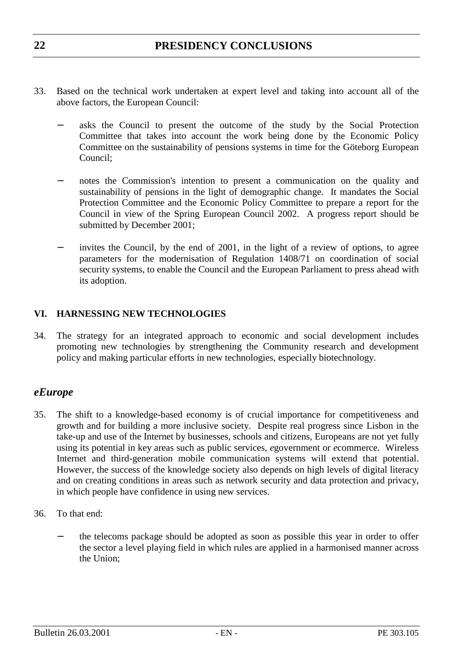- 33. Based on the technical work undertaken at expert level and taking into account all of the above factors, the European Council:
	- asks the Council to present the outcome of the study by the Social Protection Committee that takes into account the work being done by the Economic Policy Committee on the sustainability of pensions systems in time for the Göteborg European Council;
	- notes the Commission's intention to present a communication on the quality and sustainability of pensions in the light of demographic change. It mandates the Social Protection Committee and the Economic Policy Committee to prepare a report for the Council in view of the Spring European Council 2002. A progress report should be submitted by December 2001;
	- invites the Council, by the end of 2001, in the light of a review of options, to agree parameters for the modernisation of Regulation 1408/71 on coordination of social security systems, to enable the Council and the European Parliament to press ahead with its adoption.

## **VI. HARNESSING NEW TECHNOLOGIES**

34. The strategy for an integrated approach to economic and social development includes promoting new technologies by strengthening the Community research and development policy and making particular efforts in new technologies, especially biotechnology.

## *eEurope*

- 35. The shift to a knowledge-based economy is of crucial importance for competitiveness and growth and for building a more inclusive society. Despite real progress since Lisbon in the take-up and use of the Internet by businesses, schools and citizens, Europeans are not yet fully using its potential in key areas such as public services, *e*government or *e*commerce. Wireless Internet and third-generation mobile communication systems will extend that potential. However, the success of the knowledge society also depends on high levels of digital literacy and on creating conditions in areas such as network security and data protection and privacy, in which people have confidence in using new services.
- 36. To that end:
	- the telecoms package should be adopted as soon as possible this year in order to offer the sector a level playing field in which rules are applied in a harmonised manner across the Union;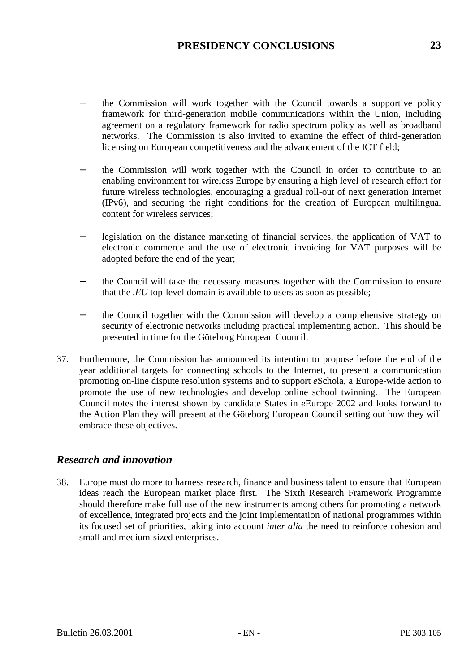- the Commission will work together with the Council towards a supportive policy framework for third-generation mobile communications within the Union, including agreement on a regulatory framework for radio spectrum policy as well as broadband networks. The Commission is also invited to examine the effect of third-generation licensing on European competitiveness and the advancement of the ICT field;
- the Commission will work together with the Council in order to contribute to an enabling environment for wireless Europe by ensuring a high level of research effort for future wireless technologies, encouraging a gradual roll-out of next generation Internet (IPv6), and securing the right conditions for the creation of European multilingual content for wireless services;
- − legislation on the distance marketing of financial services, the application of VAT to electronic commerce and the use of electronic invoicing for VAT purposes will be adopted before the end of the year;
- the Council will take the necessary measures together with the Commission to ensure that the *.EU* top-level domain is available to users as soon as possible;
- the Council together with the Commission will develop a comprehensive strategy on security of electronic networks including practical implementing action. This should be presented in time for the Göteborg European Council.
- 37. Furthermore, the Commission has announced its intention to propose before the end of the year additional targets for connecting schools to the Internet, to present a communication promoting on-line dispute resolution systems and to support *e*Schola, a Europe-wide action to promote the use of new technologies and develop online school twinning. The European Council notes the interest shown by candidate States in *e*Europe 2002 and looks forward to the Action Plan they will present at the Göteborg European Council setting out how they will embrace these objectives.

## *Research and innovation*

38. Europe must do more to harness research, finance and business talent to ensure that European ideas reach the European market place first. The Sixth Research Framework Programme should therefore make full use of the new instruments among others for promoting a network of excellence, integrated projects and the joint implementation of national programmes within its focused set of priorities, taking into account *inter alia* the need to reinforce cohesion and small and medium-sized enterprises.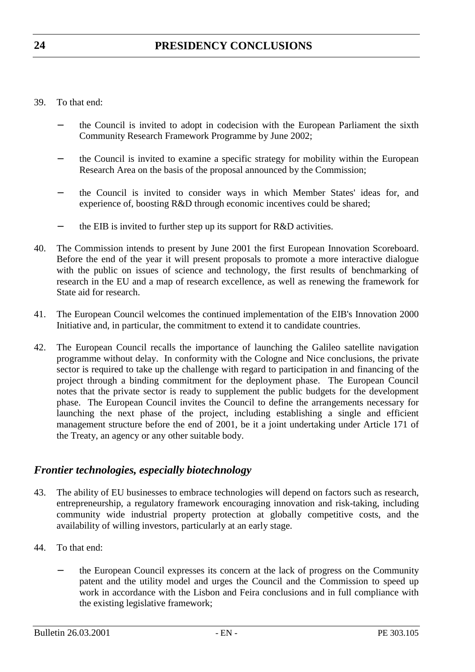- 39. To that end:
	- the Council is invited to adopt in codecision with the European Parliament the sixth Community Research Framework Programme by June 2002;
	- the Council is invited to examine a specific strategy for mobility within the European Research Area on the basis of the proposal announced by the Commission;
	- the Council is invited to consider ways in which Member States' ideas for, and experience of, boosting R&D through economic incentives could be shared;
	- the EIB is invited to further step up its support for R&D activities.
- 40. The Commission intends to present by June 2001 the first European Innovation Scoreboard. Before the end of the year it will present proposals to promote a more interactive dialogue with the public on issues of science and technology, the first results of benchmarking of research in the EU and a map of research excellence, as well as renewing the framework for State aid for research.
- 41. The European Council welcomes the continued implementation of the EIB's Innovation 2000 Initiative and, in particular, the commitment to extend it to candidate countries.
- 42. The European Council recalls the importance of launching the Galileo satellite navigation programme without delay. In conformity with the Cologne and Nice conclusions, the private sector is required to take up the challenge with regard to participation in and financing of the project through a binding commitment for the deployment phase. The European Council notes that the private sector is ready to supplement the public budgets for the development phase. The European Council invites the Council to define the arrangements necessary for launching the next phase of the project, including establishing a single and efficient management structure before the end of 2001, be it a joint undertaking under Article 171 of the Treaty, an agency or any other suitable body.

## *Frontier technologies, especially biotechnology*

- 43. The ability of EU businesses to embrace technologies will depend on factors such as research, entrepreneurship, a regulatory framework encouraging innovation and risk-taking, including community wide industrial property protection at globally competitive costs, and the availability of willing investors, particularly at an early stage.
- 44. To that end:
	- the European Council expresses its concern at the lack of progress on the Community patent and the utility model and urges the Council and the Commission to speed up work in accordance with the Lisbon and Feira conclusions and in full compliance with the existing legislative framework;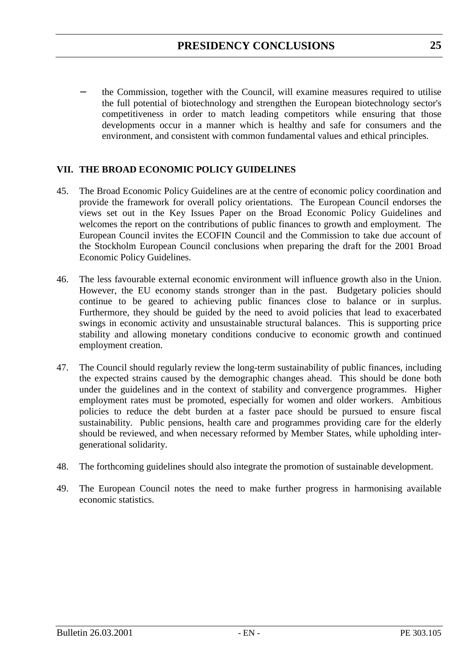the Commission, together with the Council, will examine measures required to utilise the full potential of biotechnology and strengthen the European biotechnology sector's competitiveness in order to match leading competitors while ensuring that those developments occur in a manner which is healthy and safe for consumers and the environment, and consistent with common fundamental values and ethical principles.

#### **VII. THE BROAD ECONOMIC POLICY GUIDELINES**

- 45. The Broad Economic Policy Guidelines are at the centre of economic policy coordination and provide the framework for overall policy orientations. The European Council endorses the views set out in the Key Issues Paper on the Broad Economic Policy Guidelines and welcomes the report on the contributions of public finances to growth and employment. The European Council invites the ECOFIN Council and the Commission to take due account of the Stockholm European Council conclusions when preparing the draft for the 2001 Broad Economic Policy Guidelines.
- 46. The less favourable external economic environment will influence growth also in the Union. However, the EU economy stands stronger than in the past. Budgetary policies should continue to be geared to achieving public finances close to balance or in surplus. Furthermore, they should be guided by the need to avoid policies that lead to exacerbated swings in economic activity and unsustainable structural balances. This is supporting price stability and allowing monetary conditions conducive to economic growth and continued employment creation.
- 47. The Council should regularly review the long-term sustainability of public finances, including the expected strains caused by the demographic changes ahead. This should be done both under the guidelines and in the context of stability and convergence programmes. Higher employment rates must be promoted, especially for women and older workers. Ambitious policies to reduce the debt burden at a faster pace should be pursued to ensure fiscal sustainability. Public pensions, health care and programmes providing care for the elderly should be reviewed, and when necessary reformed by Member States, while upholding intergenerational solidarity.
- 48. The forthcoming guidelines should also integrate the promotion of sustainable development.
- 49. The European Council notes the need to make further progress in harmonising available economic statistics.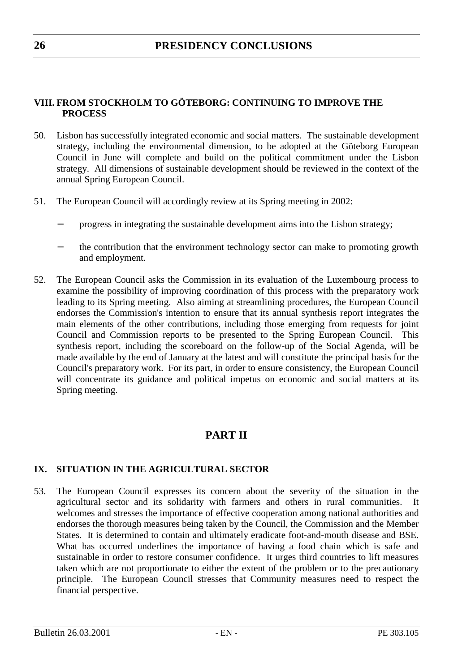## **VIII. FROM STOCKHOLM TO GÖTEBORG: CONTINUING TO IMPROVE THE PROCESS**

- 50. Lisbon has successfully integrated economic and social matters. The sustainable development strategy, including the environmental dimension, to be adopted at the Göteborg European Council in June will complete and build on the political commitment under the Lisbon strategy. All dimensions of sustainable development should be reviewed in the context of the annual Spring European Council.
- 51. The European Council will accordingly review at its Spring meeting in 2002:
	- − progress in integrating the sustainable development aims into the Lisbon strategy;
	- the contribution that the environment technology sector can make to promoting growth and employment.
- 52. The European Council asks the Commission in its evaluation of the Luxembourg process to examine the possibility of improving coordination of this process with the preparatory work leading to its Spring meeting. Also aiming at streamlining procedures, the European Council endorses the Commission's intention to ensure that its annual synthesis report integrates the main elements of the other contributions, including those emerging from requests for joint Council and Commission reports to be presented to the Spring European Council. This synthesis report, including the scoreboard on the follow-up of the Social Agenda, will be made available by the end of January at the latest and will constitute the principal basis for the Council's preparatory work. For its part, in order to ensure consistency, the European Council will concentrate its guidance and political impetus on economic and social matters at its Spring meeting.

## **PART II**

## **IX. SITUATION IN THE AGRICULTURAL SECTOR**

53. The European Council expresses its concern about the severity of the situation in the agricultural sector and its solidarity with farmers and others in rural communities. It welcomes and stresses the importance of effective cooperation among national authorities and endorses the thorough measures being taken by the Council, the Commission and the Member States. It is determined to contain and ultimately eradicate foot-and-mouth disease and BSE. What has occurred underlines the importance of having a food chain which is safe and sustainable in order to restore consumer confidence. It urges third countries to lift measures taken which are not proportionate to either the extent of the problem or to the precautionary principle. The European Council stresses that Community measures need to respect the financial perspective.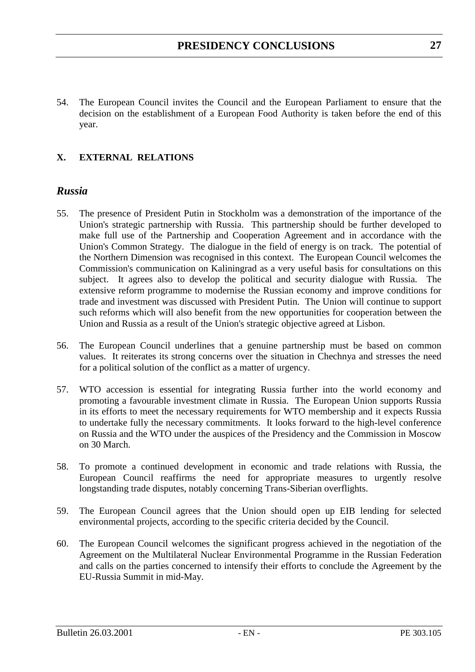54. The European Council invites the Council and the European Parliament to ensure that the decision on the establishment of a European Food Authority is taken before the end of this year.

## **X. EXTERNAL RELATIONS**

#### *Russia*

- 55. The presence of President Putin in Stockholm was a demonstration of the importance of the Union's strategic partnership with Russia. This partnership should be further developed to make full use of the Partnership and Cooperation Agreement and in accordance with the Union's Common Strategy. The dialogue in the field of energy is on track. The potential of the Northern Dimension was recognised in this context. The European Council welcomes the Commission's communication on Kaliningrad as a very useful basis for consultations on this subject. It agrees also to develop the political and security dialogue with Russia. The extensive reform programme to modernise the Russian economy and improve conditions for trade and investment was discussed with President Putin. The Union will continue to support such reforms which will also benefit from the new opportunities for cooperation between the Union and Russia as a result of the Union's strategic objective agreed at Lisbon.
- 56. The European Council underlines that a genuine partnership must be based on common values. It reiterates its strong concerns over the situation in Chechnya and stresses the need for a political solution of the conflict as a matter of urgency.
- 57. WTO accession is essential for integrating Russia further into the world economy and promoting a favourable investment climate in Russia. The European Union supports Russia in its efforts to meet the necessary requirements for WTO membership and it expects Russia to undertake fully the necessary commitments. It looks forward to the high-level conference on Russia and the WTO under the auspices of the Presidency and the Commission in Moscow on 30 March.
- 58. To promote a continued development in economic and trade relations with Russia, the European Council reaffirms the need for appropriate measures to urgently resolve longstanding trade disputes, notably concerning Trans-Siberian overflights.
- 59. The European Council agrees that the Union should open up EIB lending for selected environmental projects, according to the specific criteria decided by the Council.
- 60. The European Council welcomes the significant progress achieved in the negotiation of the Agreement on the Multilateral Nuclear Environmental Programme in the Russian Federation and calls on the parties concerned to intensify their efforts to conclude the Agreement by the EU-Russia Summit in mid-May.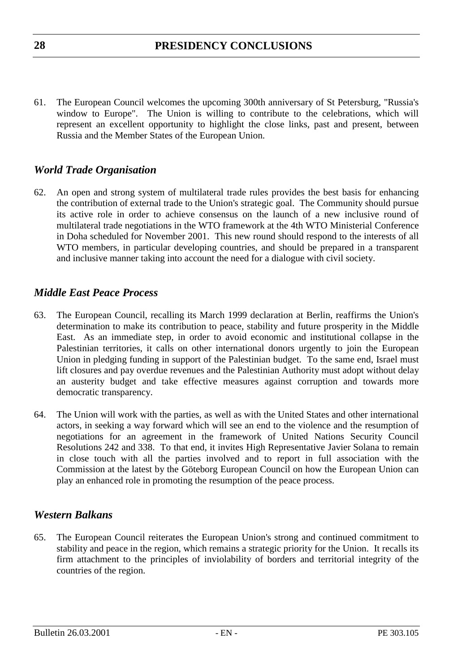61. The European Council welcomes the upcoming 300th anniversary of St Petersburg, "Russia's window to Europe". The Union is willing to contribute to the celebrations, which will represent an excellent opportunity to highlight the close links, past and present, between Russia and the Member States of the European Union.

## *World Trade Organisation*

62. An open and strong system of multilateral trade rules provides the best basis for enhancing the contribution of external trade to the Union's strategic goal. The Community should pursue its active role in order to achieve consensus on the launch of a new inclusive round of multilateral trade negotiations in the WTO framework at the 4th WTO Ministerial Conference in Doha scheduled for November 2001. This new round should respond to the interests of all WTO members, in particular developing countries, and should be prepared in a transparent and inclusive manner taking into account the need for a dialogue with civil society.

## *Middle East Peace Process*

- 63. The European Council, recalling its March 1999 declaration at Berlin, reaffirms the Union's determination to make its contribution to peace, stability and future prosperity in the Middle East. As an immediate step, in order to avoid economic and institutional collapse in the Palestinian territories, it calls on other international donors urgently to join the European Union in pledging funding in support of the Palestinian budget. To the same end, Israel must lift closures and pay overdue revenues and the Palestinian Authority must adopt without delay an austerity budget and take effective measures against corruption and towards more democratic transparency.
- 64. The Union will work with the parties, as well as with the United States and other international actors, in seeking a way forward which will see an end to the violence and the resumption of negotiations for an agreement in the framework of United Nations Security Council Resolutions 242 and 338. To that end, it invites High Representative Javier Solana to remain in close touch with all the parties involved and to report in full association with the Commission at the latest by the Göteborg European Council on how the European Union can play an enhanced role in promoting the resumption of the peace process.

## *Western Balkans*

65. The European Council reiterates the European Union's strong and continued commitment to stability and peace in the region, which remains a strategic priority for the Union. It recalls its firm attachment to the principles of inviolability of borders and territorial integrity of the countries of the region.

**28**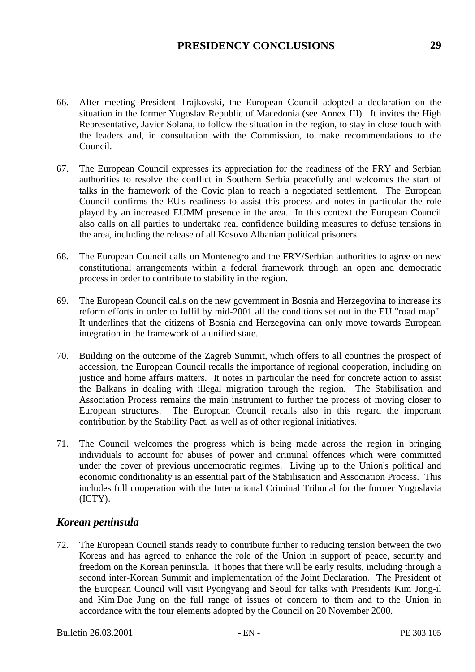- 66. After meeting President Trajkovski, the European Council adopted a declaration on the situation in the former Yugoslav Republic of Macedonia (see Annex III). It invites the High Representative, Javier Solana, to follow the situation in the region, to stay in close touch with the leaders and, in consultation with the Commission, to make recommendations to the Council.
- 67. The European Council expresses its appreciation for the readiness of the FRY and Serbian authorities to resolve the conflict in Southern Serbia peacefully and welcomes the start of talks in the framework of the Covic plan to reach a negotiated settlement. The European Council confirms the EU's readiness to assist this process and notes in particular the role played by an increased EUMM presence in the area. In this context the European Council also calls on all parties to undertake real confidence building measures to defuse tensions in the area, including the release of all Kosovo Albanian political prisoners.
- 68. The European Council calls on Montenegro and the FRY/Serbian authorities to agree on new constitutional arrangements within a federal framework through an open and democratic process in order to contribute to stability in the region.
- 69. The European Council calls on the new government in Bosnia and Herzegovina to increase its reform efforts in order to fulfil by mid-2001 all the conditions set out in the EU "road map". It underlines that the citizens of Bosnia and Herzegovina can only move towards European integration in the framework of a unified state.
- 70. Building on the outcome of the Zagreb Summit, which offers to all countries the prospect of accession, the European Council recalls the importance of regional cooperation, including on justice and home affairs matters. It notes in particular the need for concrete action to assist the Balkans in dealing with illegal migration through the region. The Stabilisation and Association Process remains the main instrument to further the process of moving closer to European structures. The European Council recalls also in this regard the important contribution by the Stability Pact, as well as of other regional initiatives.
- 71. The Council welcomes the progress which is being made across the region in bringing individuals to account for abuses of power and criminal offences which were committed under the cover of previous undemocratic regimes. Living up to the Union's political and economic conditionality is an essential part of the Stabilisation and Association Process. This includes full cooperation with the International Criminal Tribunal for the former Yugoslavia (ICTY).

## *Korean peninsula*

72. The European Council stands ready to contribute further to reducing tension between the two Koreas and has agreed to enhance the role of the Union in support of peace, security and freedom on the Korean peninsula. It hopes that there will be early results, including through a second inter-Korean Summit and implementation of the Joint Declaration. The President of the European Council will visit Pyongyang and Seoul for talks with Presidents Kim Jong-il and Kim Dae Jung on the full range of issues of concern to them and to the Union in accordance with the four elements adopted by the Council on 20 November 2000.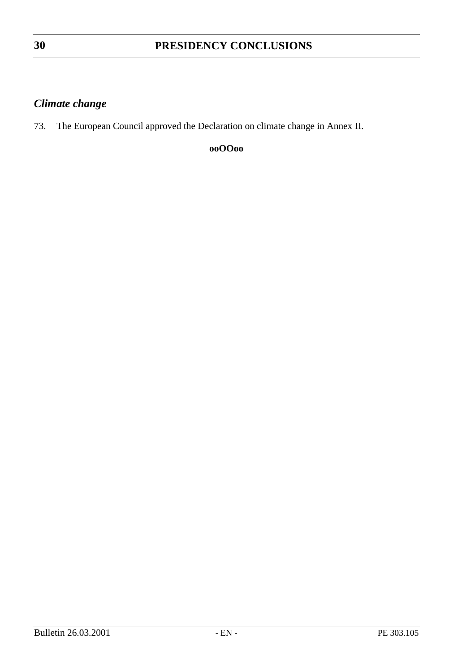## **PRESIDENCY CONCLUSIONS**

## *Climate change*

73. The European Council approved the Declaration on climate change in Annex II.

**ooOOoo**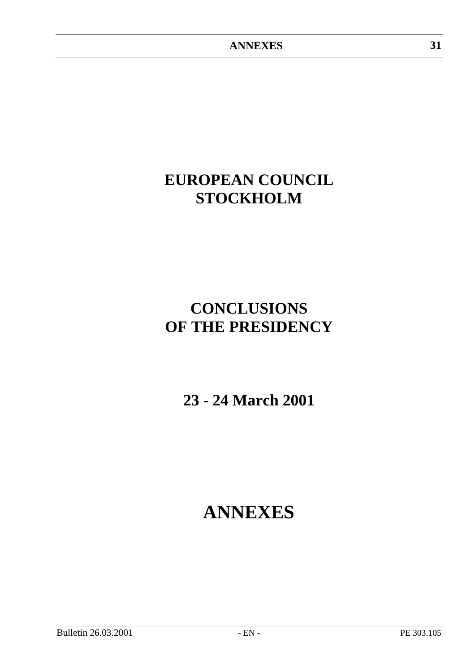## **EUROPEAN COUNCIL STOCKHOLM**

## **CONCLUSIONS OF THE PRESIDENCY**

**23 - 24 March 2001**

# **ANNEXES**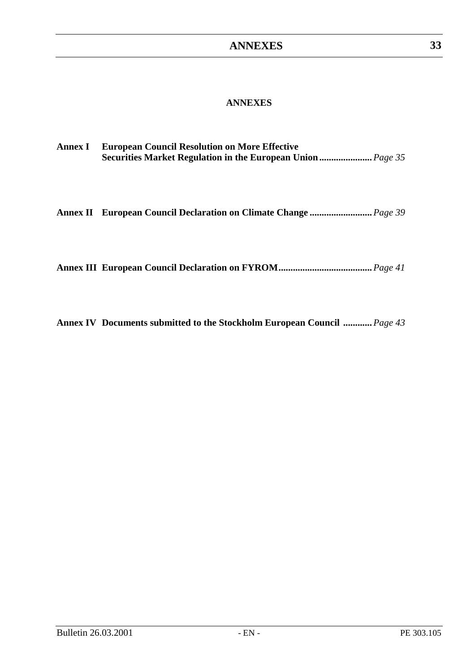#### **ANNEXES**

| <b>Annex I</b> | <b>European Council Resolution on More Effective</b>               |
|----------------|--------------------------------------------------------------------|
|                | <b>Securities Market Regulation in the European Union </b> Page 35 |

**Annex II European Council Declaration on Climate Change ..........................***Page 39*

|--|--|--|--|--|--|

**Annex IV Documents submitted to the Stockholm European Council ............***Page 43*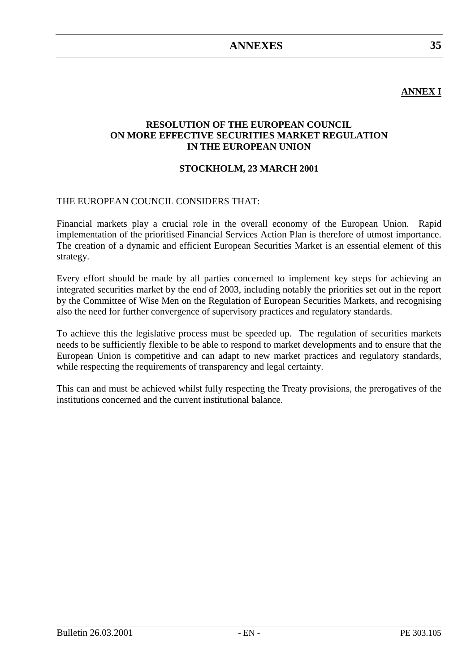## **ANNEX I**

**35**

#### **RESOLUTION OF THE EUROPEAN COUNCIL ON MORE EFFECTIVE SECURITIES MARKET REGULATION IN THE EUROPEAN UNION**

#### **STOCKHOLM, 23 MARCH 2001**

#### THE EUROPEAN COUNCIL CONSIDERS THAT:

Financial markets play a crucial role in the overall economy of the European Union. Rapid implementation of the prioritised Financial Services Action Plan is therefore of utmost importance. The creation of a dynamic and efficient European Securities Market is an essential element of this strategy.

Every effort should be made by all parties concerned to implement key steps for achieving an integrated securities market by the end of 2003, including notably the priorities set out in the report by the Committee of Wise Men on the Regulation of European Securities Markets, and recognising also the need for further convergence of supervisory practices and regulatory standards.

To achieve this the legislative process must be speeded up. The regulation of securities markets needs to be sufficiently flexible to be able to respond to market developments and to ensure that the European Union is competitive and can adapt to new market practices and regulatory standards, while respecting the requirements of transparency and legal certainty.

This can and must be achieved whilst fully respecting the Treaty provisions, the prerogatives of the institutions concerned and the current institutional balance.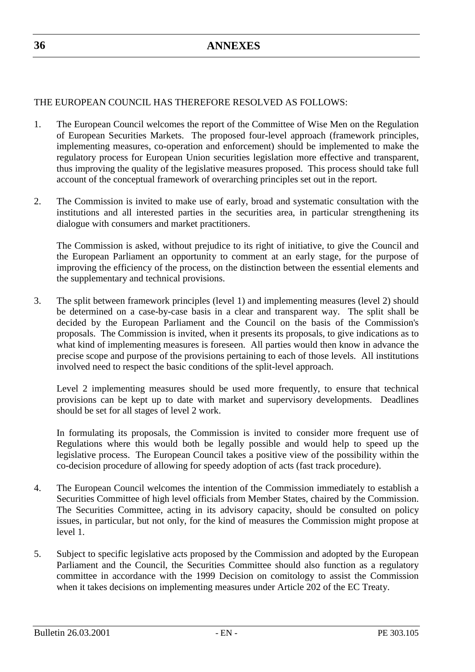### THE EUROPEAN COUNCIL HAS THEREFORE RESOLVED AS FOLLOWS:

- 1. The European Council welcomes the report of the Committee of Wise Men on the Regulation of European Securities Markets. The proposed four-level approach (framework principles, implementing measures, co-operation and enforcement) should be implemented to make the regulatory process for European Union securities legislation more effective and transparent, thus improving the quality of the legislative measures proposed. This process should take full account of the conceptual framework of overarching principles set out in the report.
- 2. The Commission is invited to make use of early, broad and systematic consultation with the institutions and all interested parties in the securities area, in particular strengthening its dialogue with consumers and market practitioners.

The Commission is asked, without prejudice to its right of initiative, to give the Council and the European Parliament an opportunity to comment at an early stage, for the purpose of improving the efficiency of the process, on the distinction between the essential elements and the supplementary and technical provisions.

3. The split between framework principles (level 1) and implementing measures (level 2) should be determined on a case-by-case basis in a clear and transparent way. The split shall be decided by the European Parliament and the Council on the basis of the Commission's proposals. The Commission is invited, when it presents its proposals, to give indications as to what kind of implementing measures is foreseen. All parties would then know in advance the precise scope and purpose of the provisions pertaining to each of those levels. All institutions involved need to respect the basic conditions of the split-level approach.

Level 2 implementing measures should be used more frequently, to ensure that technical provisions can be kept up to date with market and supervisory developments. Deadlines should be set for all stages of level 2 work.

In formulating its proposals, the Commission is invited to consider more frequent use of Regulations where this would both be legally possible and would help to speed up the legislative process. The European Council takes a positive view of the possibility within the co-decision procedure of allowing for speedy adoption of acts (fast track procedure).

- 4. The European Council welcomes the intention of the Commission immediately to establish a Securities Committee of high level officials from Member States, chaired by the Commission. The Securities Committee, acting in its advisory capacity, should be consulted on policy issues, in particular, but not only, for the kind of measures the Commission might propose at level 1.
- 5. Subject to specific legislative acts proposed by the Commission and adopted by the European Parliament and the Council, the Securities Committee should also function as a regulatory committee in accordance with the 1999 Decision on comitology to assist the Commission when it takes decisions on implementing measures under Article 202 of the EC Treaty.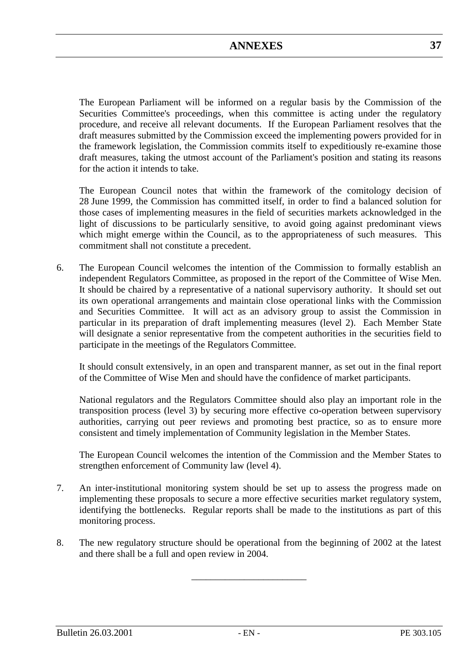The European Parliament will be informed on a regular basis by the Commission of the Securities Committee's proceedings, when this committee is acting under the regulatory procedure, and receive all relevant documents. If the European Parliament resolves that the draft measures submitted by the Commission exceed the implementing powers provided for in the framework legislation, the Commission commits itself to expeditiously re-examine those draft measures, taking the utmost account of the Parliament's position and stating its reasons for the action it intends to take.

The European Council notes that within the framework of the comitology decision of 28 June 1999, the Commission has committed itself, in order to find a balanced solution for those cases of implementing measures in the field of securities markets acknowledged in the light of discussions to be particularly sensitive, to avoid going against predominant views which might emerge within the Council, as to the appropriateness of such measures. This commitment shall not constitute a precedent.

6. The European Council welcomes the intention of the Commission to formally establish an independent Regulators Committee, as proposed in the report of the Committee of Wise Men. It should be chaired by a representative of a national supervisory authority. It should set out its own operational arrangements and maintain close operational links with the Commission and Securities Committee.It will act as an advisory group to assist the Commission in particular in its preparation of draft implementing measures (level 2). Each Member State will designate a senior representative from the competent authorities in the securities field to participate in the meetings of the Regulators Committee.

It should consult extensively, in an open and transparent manner, as set out in the final report of the Committee of Wise Men and should have the confidence of market participants.

National regulators and the Regulators Committee should also play an important role in the transposition process (level 3) by securing more effective co-operation between supervisory authorities, carrying out peer reviews and promoting best practice, so as to ensure more consistent and timely implementation of Community legislation in the Member States.

The European Council welcomes the intention of the Commission and the Member States to strengthen enforcement of Community law (level 4).

- 7. An inter-institutional monitoring system should be set up to assess the progress made on implementing these proposals to secure a more effective securities market regulatory system, identifying the bottlenecks. Regular reports shall be made to the institutions as part of this monitoring process.
- 8. The new regulatory structure should be operational from the beginning of 2002 at the latest and there shall be a full and open review in 2004.

\_\_\_\_\_\_\_\_\_\_\_\_\_\_\_\_\_\_\_\_\_\_\_\_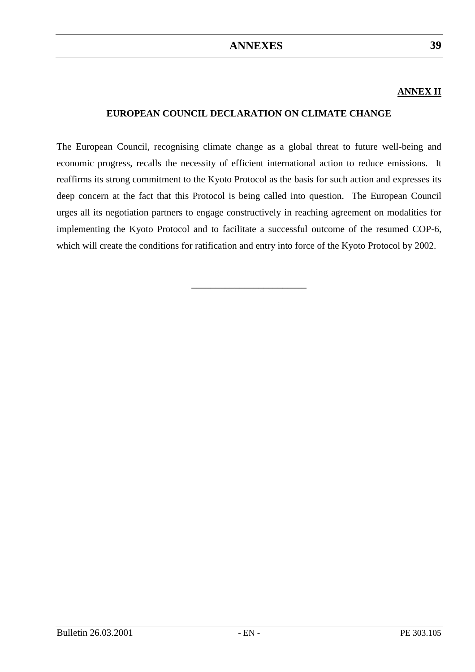## **ANNEX II**

#### **EUROPEAN COUNCIL DECLARATION ON CLIMATE CHANGE**

The European Council, recognising climate change as a global threat to future well-being and economic progress, recalls the necessity of efficient international action to reduce emissions. It reaffirms its strong commitment to the Kyoto Protocol as the basis for such action and expresses its deep concern at the fact that this Protocol is being called into question. The European Council urges all its negotiation partners to engage constructively in reaching agreement on modalities for implementing the Kyoto Protocol and to facilitate a successful outcome of the resumed COP-6, which will create the conditions for ratification and entry into force of the Kyoto Protocol by 2002.

\_\_\_\_\_\_\_\_\_\_\_\_\_\_\_\_\_\_\_\_\_\_\_\_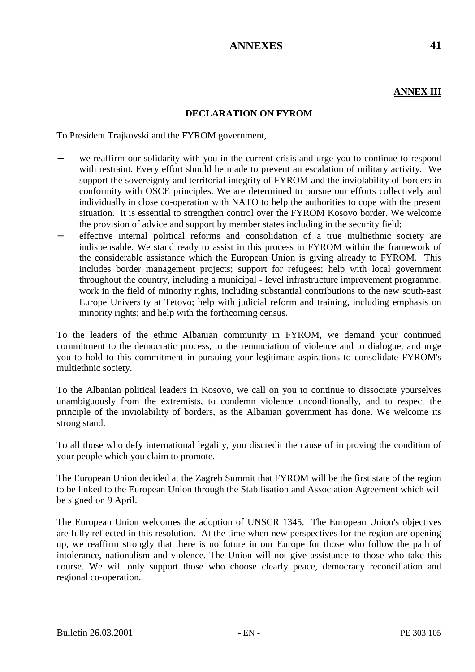## **ANNEX III**

### **DECLARATION ON FYROM**

To President Trajkovski and the FYROM government,

- we reaffirm our solidarity with you in the current crisis and urge you to continue to respond with restraint. Every effort should be made to prevent an escalation of military activity. We support the sovereignty and territorial integrity of FYROM and the inviolability of borders in conformity with OSCE principles. We are determined to pursue our efforts collectively and individually in close co-operation with NATO to help the authorities to cope with the present situation. It is essential to strengthen control over the FYROM Kosovo border. We welcome the provision of advice and support by member states including in the security field;
- − effective internal political reforms and consolidation of a true multiethnic society are indispensable. We stand ready to assist in this process in FYROM within the framework of the considerable assistance which the European Union is giving already to FYROM. This includes border management projects; support for refugees; help with local government throughout the country, including a municipal - level infrastructure improvement programme; work in the field of minority rights, including substantial contributions to the new south-east Europe University at Tetovo; help with judicial reform and training, including emphasis on minority rights; and help with the forthcoming census.

To the leaders of the ethnic Albanian community in FYROM, we demand your continued commitment to the democratic process, to the renunciation of violence and to dialogue, and urge you to hold to this commitment in pursuing your legitimate aspirations to consolidate FYROM's multiethnic society.

To the Albanian political leaders in Kosovo, we call on you to continue to dissociate yourselves unambiguously from the extremists, to condemn violence unconditionally, and to respect the principle of the inviolability of borders, as the Albanian government has done. We welcome its strong stand.

To all those who defy international legality, you discredit the cause of improving the condition of your people which you claim to promote.

The European Union decided at the Zagreb Summit that FYROM will be the first state of the region to be linked to the European Union through the Stabilisation and Association Agreement which will be signed on 9 April.

The European Union welcomes the adoption of UNSCR 1345. The European Union's objectives are fully reflected in this resolution. At the time when new perspectives for the region are opening up, we reaffirm strongly that there is no future in our Europe for those who follow the path of intolerance, nationalism and violence. The Union will not give assistance to those who take this course. We will only support those who choose clearly peace, democracy reconciliation and regional co-operation.

\_\_\_\_\_\_\_\_\_\_\_\_\_\_\_\_\_\_\_\_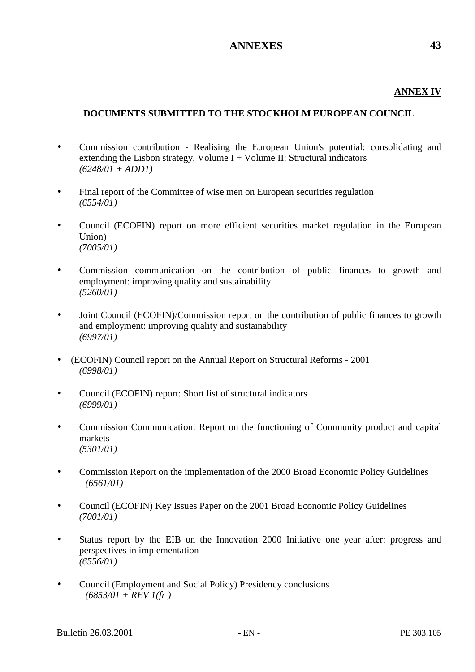## **ANNEX IV**

## **DOCUMENTS SUBMITTED TO THE STOCKHOLM EUROPEAN COUNCIL**

- Commission contribution Realising the European Union's potential: consolidating and extending the Lisbon strategy, Volume  $I +$  Volume II: Structural indicators *(6248/01 + ADD1)*
- Final report of the Committee of wise men on European securities regulation *(6554/01)*
- Council (ECOFIN) report on more efficient securities market regulation in the European Union) *(7005/01)*
- Commission communication on the contribution of public finances to growth and employment: improving quality and sustainability *(5260/01)*
- Joint Council (ECOFIN)/Commission report on the contribution of public finances to growth and employment: improving quality and sustainability *(6997/01)*
- (ECOFIN) Council report on the Annual Report on Structural Reforms 2001 *(6998/01)*
- Council (ECOFIN) report: Short list of structural indicators *(6999/01)*
- Commission Communication: Report on the functioning of Community product and capital markets *(5301/01)*
- Commission Report on the implementation of the 2000 Broad Economic Policy Guidelines *(6561/01)*
- Council (ECOFIN) Key Issues Paper on the 2001 Broad Economic Policy Guidelines *(7001/01)*
- Status report by the EIB on the Innovation 2000 Initiative one year after: progress and perspectives in implementation *(6556/01)*
- Council (Employment and Social Policy) Presidency conclusions *(6853/01 + REV 1(fr )*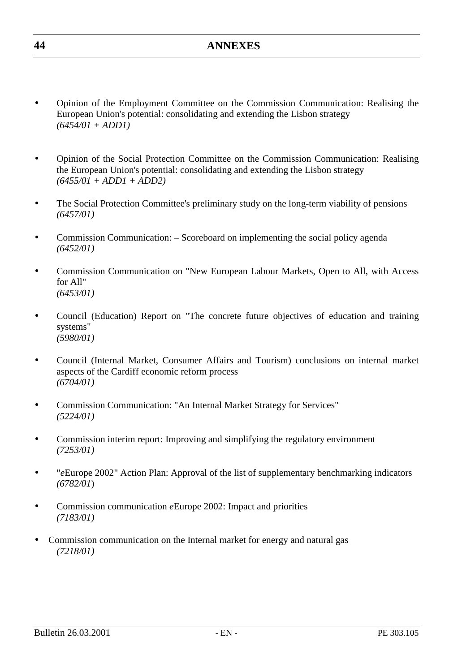- Opinion of the Employment Committee on the Commission Communication: Realising the European Union's potential: consolidating and extending the Lisbon strategy *(6454/01 + ADD1)*
- Opinion of the Social Protection Committee on the Commission Communication: Realising the European Union's potential: consolidating and extending the Lisbon strategy *(6455/01 + ADD1 + ADD2)*
- The Social Protection Committee's preliminary study on the long-term viability of pensions *(6457/01)*
- Commission Communication: Scoreboard on implementing the social policy agenda *(6452/01)*
- Commission Communication on "New European Labour Markets, Open to All, with Access for All" *(6453/01)*
- Council (Education) Report on "The concrete future objectives of education and training systems" *(5980/01)*
- Council (Internal Market, Consumer Affairs and Tourism) conclusions on internal market aspects of the Cardiff economic reform process *(6704/01)*
- Commission Communication: "An Internal Market Strategy for Services" *(5224/01)*
- Commission interim report: Improving and simplifying the regulatory environment *(7253/01)*
- "*e*Europe 2002" Action Plan: Approval of the list of supplementary benchmarking indicators *(6782/01*)
- Commission communication *e*Europe 2002: Impact and priorities *(7183/01)*
- Commission communication on the Internal market for energy and natural gas *(7218/01)*